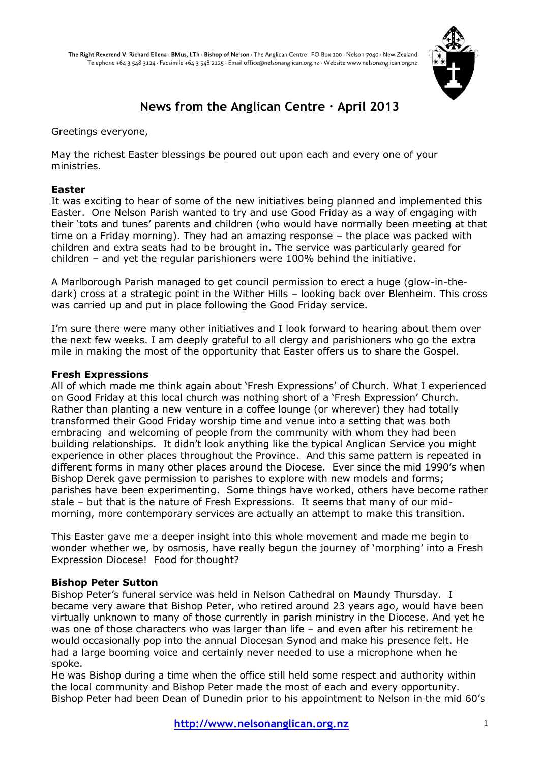

# **News from the Anglican Centre · April 2013**

Greetings everyone,

May the richest Easter blessings be poured out upon each and every one of your ministries.

## **Easter**

It was exciting to hear of some of the new initiatives being planned and implemented this Easter. One Nelson Parish wanted to try and use Good Friday as a way of engaging with their "tots and tunes" parents and children (who would have normally been meeting at that time on a Friday morning). They had an amazing response – the place was packed with children and extra seats had to be brought in. The service was particularly geared for children – and yet the regular parishioners were 100% behind the initiative.

A Marlborough Parish managed to get council permission to erect a huge (glow-in-thedark) cross at a strategic point in the Wither Hills – looking back over Blenheim. This cross was carried up and put in place following the Good Friday service.

I"m sure there were many other initiatives and I look forward to hearing about them over the next few weeks. I am deeply grateful to all clergy and parishioners who go the extra mile in making the most of the opportunity that Easter offers us to share the Gospel.

## **Fresh Expressions**

All of which made me think again about "Fresh Expressions" of Church. What I experienced on Good Friday at this local church was nothing short of a "Fresh Expression" Church. Rather than planting a new venture in a coffee lounge (or wherever) they had totally transformed their Good Friday worship time and venue into a setting that was both embracing and welcoming of people from the community with whom they had been building relationships. It didn"t look anything like the typical Anglican Service you might experience in other places throughout the Province. And this same pattern is repeated in different forms in many other places around the Diocese. Ever since the mid 1990"s when Bishop Derek gave permission to parishes to explore with new models and forms; parishes have been experimenting. Some things have worked, others have become rather stale – but that is the nature of Fresh Expressions. It seems that many of our midmorning, more contemporary services are actually an attempt to make this transition.

This Easter gave me a deeper insight into this whole movement and made me begin to wonder whether we, by osmosis, have really begun the journey of 'morphing' into a Fresh Expression Diocese! Food for thought?

## **Bishop Peter Sutton**

Bishop Peter's funeral service was held in Nelson Cathedral on Maundy Thursday. I became very aware that Bishop Peter, who retired around 23 years ago, would have been virtually unknown to many of those currently in parish ministry in the Diocese. And yet he was one of those characters who was larger than life - and even after his retirement he would occasionally pop into the annual Diocesan Synod and make his presence felt. He had a large booming voice and certainly never needed to use a microphone when he spoke.

He was Bishop during a time when the office still held some respect and authority within the local community and Bishop Peter made the most of each and every opportunity. Bishop Peter had been Dean of Dunedin prior to his appointment to Nelson in the mid 60"s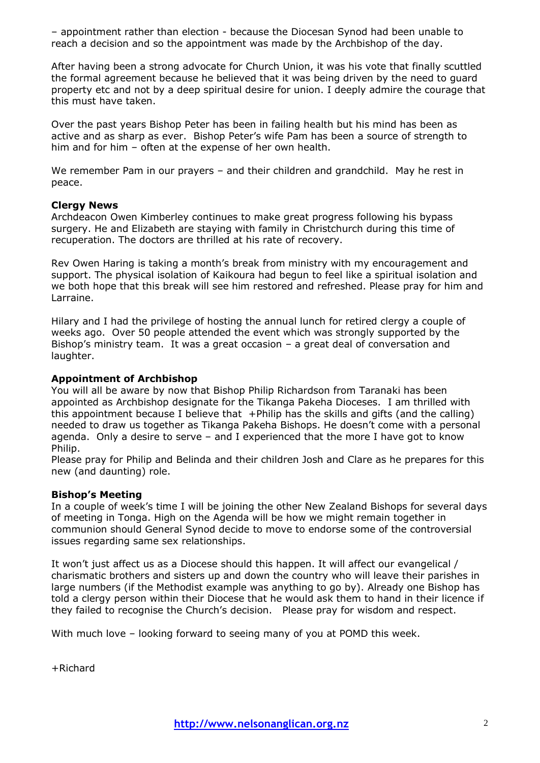– appointment rather than election - because the Diocesan Synod had been unable to reach a decision and so the appointment was made by the Archbishop of the day.

After having been a strong advocate for Church Union, it was his vote that finally scuttled the formal agreement because he believed that it was being driven by the need to guard property etc and not by a deep spiritual desire for union. I deeply admire the courage that this must have taken.

Over the past years Bishop Peter has been in failing health but his mind has been as active and as sharp as ever. Bishop Peter"s wife Pam has been a source of strength to him and for him – often at the expense of her own health.

We remember Pam in our prayers – and their children and grandchild. May he rest in peace.

## **Clergy News**

Archdeacon Owen Kimberley continues to make great progress following his bypass surgery. He and Elizabeth are staying with family in Christchurch during this time of recuperation. The doctors are thrilled at his rate of recovery.

Rev Owen Haring is taking a month"s break from ministry with my encouragement and support. The physical isolation of Kaikoura had begun to feel like a spiritual isolation and we both hope that this break will see him restored and refreshed. Please pray for him and Larraine.

Hilary and I had the privilege of hosting the annual lunch for retired clergy a couple of weeks ago. Over 50 people attended the event which was strongly supported by the Bishop's ministry team. It was a great occasion - a great deal of conversation and laughter.

## **Appointment of Archbishop**

You will all be aware by now that Bishop Philip Richardson from Taranaki has been appointed as Archbishop designate for the Tikanga Pakeha Dioceses. I am thrilled with this appointment because I believe that +Philip has the skills and gifts (and the calling) needed to draw us together as Tikanga Pakeha Bishops. He doesn"t come with a personal agenda. Only a desire to serve – and I experienced that the more I have got to know Philip.

Please pray for Philip and Belinda and their children Josh and Clare as he prepares for this new (and daunting) role.

## **Bishop's Meeting**

In a couple of week"s time I will be joining the other New Zealand Bishops for several days of meeting in Tonga. High on the Agenda will be how we might remain together in communion should General Synod decide to move to endorse some of the controversial issues regarding same sex relationships.

It won"t just affect us as a Diocese should this happen. It will affect our evangelical / charismatic brothers and sisters up and down the country who will leave their parishes in large numbers (if the Methodist example was anything to go by). Already one Bishop has told a clergy person within their Diocese that he would ask them to hand in their licence if they failed to recognise the Church"s decision. Please pray for wisdom and respect.

With much love – looking forward to seeing many of you at POMD this week.

+Richard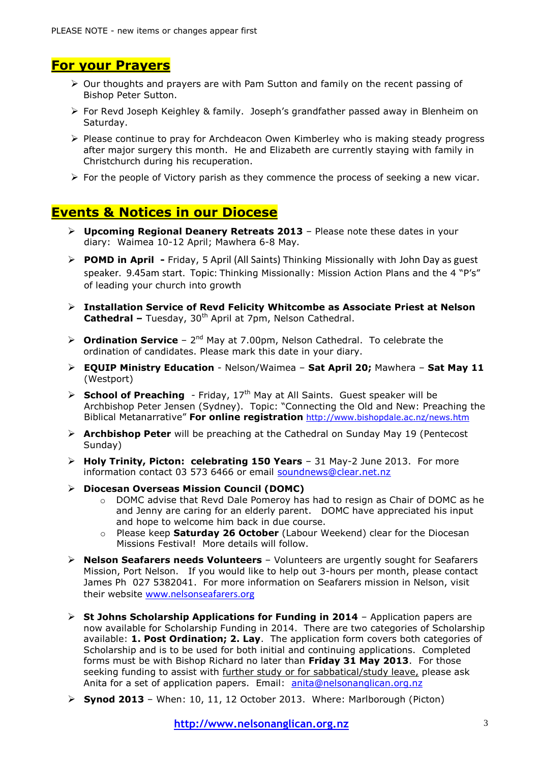# **For your Prayers**

- $\triangleright$  Our thoughts and prayers are with Pam Sutton and family on the recent passing of Bishop Peter Sutton.
- $\triangleright$  For Revd Joseph Keighley & family. Joseph's grandfather passed away in Blenheim on Saturday.
- $\triangleright$  Please continue to pray for Archdeacon Owen Kimberley who is making steady progress after major surgery this month. He and Elizabeth are currently staying with family in Christchurch during his recuperation.
- $\triangleright$  For the people of Victory parish as they commence the process of seeking a new vicar.

## **Events & Notices in our Diocese**

- **Upcoming Regional Deanery Retreats 2013**  Please note these dates in your diary: Waimea 10-12 April; Mawhera 6-8 May*.*
- **POMD in April -** Friday, 5 April (All Saints) Thinking Missionally with John Day as guest speaker. 9.45am start. Topic: Thinking Missionally: Mission Action Plans and the 4 "P's" of leading your church into growth
- **Installation Service of Revd Felicity Whitcombe as Associate Priest at Nelson Cathedral –** Tuesday, 30<sup>th</sup> April at 7pm, Nelson Cathedral.
- $\triangleright$  **Ordination Service** 2<sup>nd</sup> May at 7.00pm, Nelson Cathedral. To celebrate the ordination of candidates. Please mark this date in your diary.
- **EQUIP Ministry Education** Nelson/Waimea **Sat April 20;** Mawhera **Sat May 11** (Westport)
- $\triangleright$  **School of Preaching** Friday, 17<sup>th</sup> May at All Saints. Guest speaker will be Archbishop Peter Jensen (Sydney). Topic: "Connecting the Old and New: Preaching the Biblical Metanarrative" **For online registration** <http://www.bishopdale.ac.nz/news.htm>
- **Archbishop Peter** will be preaching at the Cathedral on Sunday May 19 (Pentecost Sunday)
- **Holy Trinity, Picton: celebrating 150 Years** 31 May-2 June 2013. For more information contact 03 573 6466 or email [soundnews@clear.net.nz](mailto:soundnews@clear.net.nz)
- **Diocesan Overseas Mission Council (DOMC)** 
	- o DOMC advise that Revd Dale Pomeroy has had to resign as Chair of DOMC as he and Jenny are caring for an elderly parent. DOMC have appreciated his input and hope to welcome him back in due course.
	- o Please keep **Saturday 26 October** (Labour Weekend) clear for the Diocesan Missions Festival! More details will follow.
- **Nelson Seafarers needs Volunteers**  Volunteers are urgently sought for Seafarers Mission, Port Nelson. If you would like to help out 3-hours per month, please contact James Ph 027 5382041. For more information on Seafarers mission in Nelson, visit their website [www.nelsonseafarers.org](http://www.nelsonseafarers.org/)
- **St Johns Scholarship Applications for Funding in 2014** Application papers are now available for Scholarship Funding in 2014. There are two categories of Scholarship available: **1. Post Ordination; 2. Lay**. The application form covers both categories of Scholarship and is to be used for both initial and continuing applications. Completed forms must be with Bishop Richard no later than **Friday 31 May 2013**. For those seeking funding to assist with further study or for sabbatical/study leave, please ask Anita for a set of application papers. Email: [anita@nelsonanglican.org.nz](mailto:anita@nelsonanglican.org.nz)
- **Synod 2013** When: 10, 11, 12 October 2013. Where: Marlborough (Picton)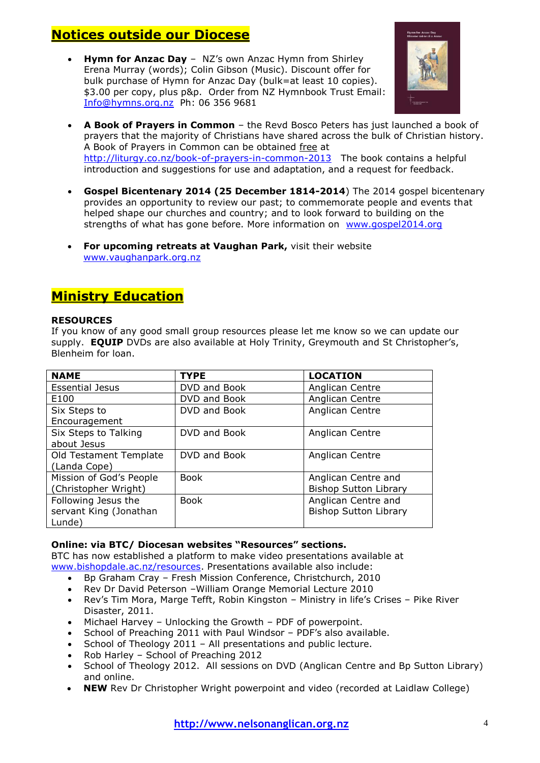# **Notices outside our Diocese**

**Hymn for Anzac Day** – NZ's own Anzac Hymn from Shirley Erena Murray (words); Colin Gibson (Music). Discount offer for bulk purchase of Hymn for Anzac Day (bulk=at least 10 copies). \$3.00 per copy, plus p&p. Order from NZ Hymnbook Trust Email: [Info@hymns.org.nz](mailto:Info@hymns.org.nz) Ph: 06 356 9681



- **A Book of Prayers in Common** the Revd Bosco Peters has just launched a book of prayers that the majority of Christians have shared across the bulk of Christian history. A Book of Prayers in Common can be obtained free at <http://liturgy.co.nz/book-of-prayers-in-common-2013>The book contains a helpful introduction and suggestions for use and adaptation, and a request for feedback.
- **Gospel Bicentenary 2014 (25 December 1814-2014**) The 2014 gospel bicentenary provides an opportunity to review our past; to commemorate people and events that helped shape our churches and country; and to look forward to building on the strengths of what has gone before. More information on [www.gospel2014.org](http://www.gospel2014.org/)
- **For upcoming retreats at Vaughan Park,** visit their website [www.vaughanpark.org.nz](http://www.vaughanpark.org.nz/)

# **Ministry Education**

## **RESOURCES**

If you know of any good small group resources please let me know so we can update our supply. **EQUIP** DVDs are also available at Holy Trinity, Greymouth and St Christopher's, Blenheim for loan.

| <b>NAME</b>             | <b>TYPE</b>  | <b>LOCATION</b>              |
|-------------------------|--------------|------------------------------|
| <b>Essential Jesus</b>  | DVD and Book | Anglican Centre              |
| E100                    | DVD and Book | Anglican Centre              |
| Six Steps to            | DVD and Book | Anglican Centre              |
| Encouragement           |              |                              |
| Six Steps to Talking    | DVD and Book | Anglican Centre              |
| about Jesus             |              |                              |
| Old Testament Template  | DVD and Book | Anglican Centre              |
| (Landa Cope)            |              |                              |
| Mission of God's People | <b>Book</b>  | Anglican Centre and          |
| (Christopher Wright)    |              | <b>Bishop Sutton Library</b> |
| Following Jesus the     | <b>Book</b>  | Anglican Centre and          |
| servant King (Jonathan  |              | <b>Bishop Sutton Library</b> |
| Lunde)                  |              |                              |

## **Online: via BTC/ Diocesan websites "Resources" sections.**

BTC has now established a platform to make video presentations available at [www.bishopdale.ac.nz/resources.](http://www.bishopdale.ac.nz/resources) Presentations available also include:

- Bp Graham Cray Fresh Mission Conference, Christchurch, 2010
- Rev Dr David Peterson William Orange Memorial Lecture 2010
- Rev's Tim Mora, Marge Tefft, Robin Kingston Ministry in life's Crises Pike River Disaster, 2011.
- Michael Harvey Unlocking the Growth PDF of powerpoint.
- School of Preaching 2011 with Paul Windsor PDF"s also available.
- School of Theology 2011 All presentations and public lecture.
- Rob Harley School of Preaching 2012
- School of Theology 2012. All sessions on DVD (Anglican Centre and Bp Sutton Library) and online.
- **NEW** Rev Dr Christopher Wright powerpoint and video (recorded at Laidlaw College)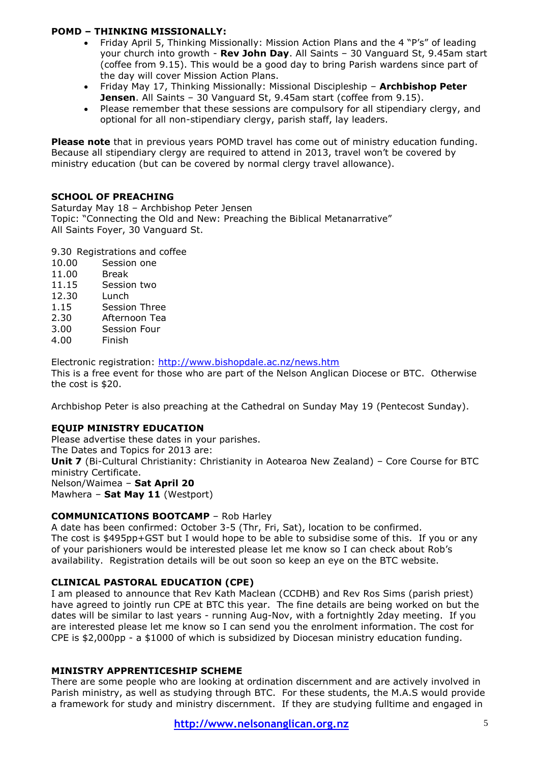## **POMD – THINKING MISSIONALLY:**

- Friday April 5, Thinking Missionally: Mission Action Plans and the 4 "P's" of leading your church into growth - **Rev John Day**. All Saints – 30 Vanguard St, 9.45am start (coffee from 9.15). This would be a good day to bring Parish wardens since part of the day will cover Mission Action Plans.
- Friday May 17, Thinking Missionally: Missional Discipleship **Archbishop Peter Jensen**. All Saints – 30 Vanguard St, 9.45am start (coffee from 9.15).
- Please remember that these sessions are compulsory for all stipendiary clergy, and optional for all non-stipendiary clergy, parish staff, lay leaders.

**Please note** that in previous years POMD travel has come out of ministry education funding. Because all stipendiary clergy are required to attend in 2013, travel won"t be covered by ministry education (but can be covered by normal clergy travel allowance).

## **SCHOOL OF PREACHING**

Saturday May 18 – Archbishop Peter Jensen Topic: "Connecting the Old and New: Preaching the Biblical Metanarrative" All Saints Foyer, 30 Vanguard St.

9.30 Registrations and coffee

- 10.00 Session one
- 11.00 Break
- 11.15 Session two
- 12.30 Lunch
- 1.15 Session Three
- 2.30 Afternoon Tea
- 3.00 Session Four
- 4.00 Finish

Electronic registration:<http://www.bishopdale.ac.nz/news.htm> This is a free event for those who are part of the Nelson Anglican Diocese or BTC. Otherwise the cost is \$20.

Archbishop Peter is also preaching at the Cathedral on Sunday May 19 (Pentecost Sunday).

## **EQUIP MINISTRY EDUCATION**

Please advertise these dates in your parishes. The Dates and Topics for 2013 are: **Unit 7** (Bi-Cultural Christianity: Christianity in Aotearoa New Zealand) – Core Course for BTC ministry Certificate. Nelson/Waimea – **Sat April 20** Mawhera – **Sat May 11** (Westport)

## **COMMUNICATIONS BOOTCAMP** – Rob Harley

A date has been confirmed: October 3-5 (Thr, Fri, Sat), location to be confirmed. The cost is \$495pp+GST but I would hope to be able to subsidise some of this. If you or any of your parishioners would be interested please let me know so I can check about Rob"s availability. Registration details will be out soon so keep an eye on the BTC website.

## **CLINICAL PASTORAL EDUCATION (CPE)**

I am pleased to announce that Rev Kath Maclean (CCDHB) and Rev Ros Sims (parish priest) have agreed to jointly run CPE at BTC this year. The fine details are being worked on but the dates will be similar to last years - running Aug-Nov, with a fortnightly 2day meeting. If you are interested please let me know so I can send you the enrolment information. The cost for CPE is \$2,000pp - a \$1000 of which is subsidized by Diocesan ministry education funding.

## **MINISTRY APPRENTICESHIP SCHEME**

There are some people who are looking at ordination discernment and are actively involved in Parish ministry, as well as studying through BTC. For these students, the M.A.S would provide a framework for study and ministry discernment. If they are studying fulltime and engaged in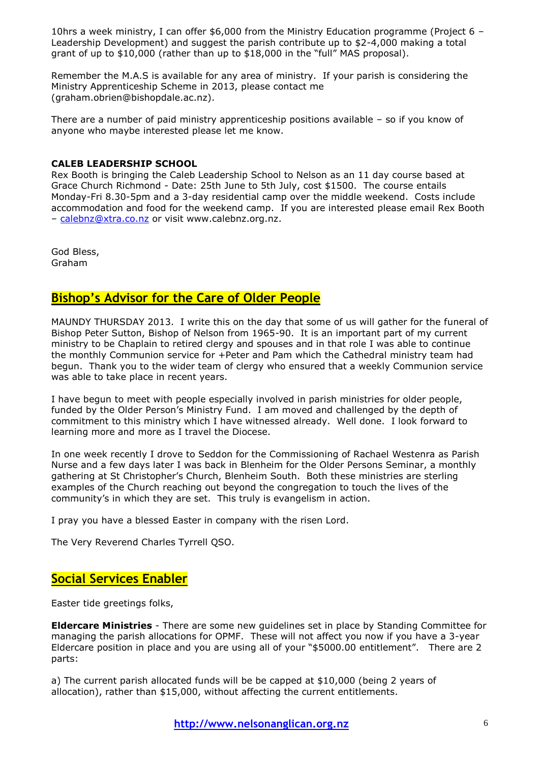10hrs a week ministry, I can offer \$6,000 from the Ministry Education programme (Project 6 – Leadership Development) and suggest the parish contribute up to \$2-4,000 making a total grant of up to \$10,000 (rather than up to \$18,000 in the "full" MAS proposal).

Remember the M.A.S is available for any area of ministry. If your parish is considering the Ministry Apprenticeship Scheme in 2013, please contact me (graham.obrien@bishopdale.ac.nz).

There are a number of paid ministry apprenticeship positions available – so if you know of anyone who maybe interested please let me know.

## **CALEB LEADERSHIP SCHOOL**

Rex Booth is bringing the Caleb Leadership School to Nelson as an 11 day course based at Grace Church Richmond - Date: 25th June to 5th July, cost \$1500. The course entails Monday-Fri 8.30-5pm and a 3-day residential camp over the middle weekend. Costs include accommodation and food for the weekend camp. If you are interested please email Rex Booth – [calebnz@xtra.co.nz](mailto:calebnz@xtra.co.nz) or visit www.calebnz.org.nz.

God Bless, Graham

## **Bishop's Advisor for the Care of Older People**

MAUNDY THURSDAY 2013. I write this on the day that some of us will gather for the funeral of Bishop Peter Sutton, Bishop of Nelson from 1965-90. It is an important part of my current ministry to be Chaplain to retired clergy and spouses and in that role I was able to continue the monthly Communion service for +Peter and Pam which the Cathedral ministry team had begun. Thank you to the wider team of clergy who ensured that a weekly Communion service was able to take place in recent years.

I have begun to meet with people especially involved in parish ministries for older people, funded by the Older Person"s Ministry Fund. I am moved and challenged by the depth of commitment to this ministry which I have witnessed already. Well done. I look forward to learning more and more as I travel the Diocese.

In one week recently I drove to Seddon for the Commissioning of Rachael Westenra as Parish Nurse and a few days later I was back in Blenheim for the Older Persons Seminar, a monthly gathering at St Christopher"s Church, Blenheim South. Both these ministries are sterling examples of the Church reaching out beyond the congregation to touch the lives of the community's in which they are set. This truly is evangelism in action.

I pray you have a blessed Easter in company with the risen Lord.

The Very Reverend Charles Tyrrell QSO.

## **Social Services Enabler**

Easter tide greetings folks,

**Eldercare Ministries** - There are some new guidelines set in place by Standing Committee for managing the parish allocations for OPMF. These will not affect you now if you have a 3-year Eldercare position in place and you are using all of your "\$5000.00 entitlement". There are 2 parts:

a) The current parish allocated funds will be be capped at \$10,000 (being 2 years of allocation), rather than \$15,000, without affecting the current entitlements.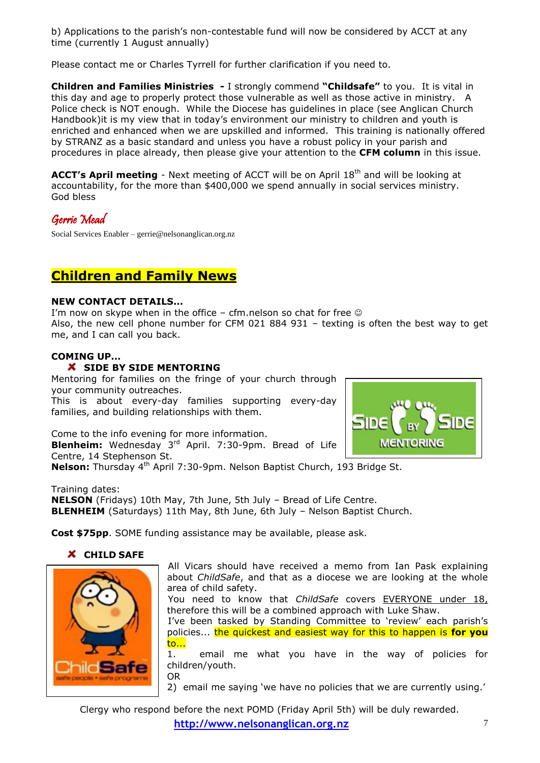b) Applications to the parish's non-contestable fund will now be considered by ACCT at any time (currently 1 August annually)

Please contact me or Charles Tyrrell for further clarification if you need to.

**Children and Families Ministries -** I strongly commend **"Childsafe"** to you. It is vital in this day and age to properly protect those vulnerable as well as those active in ministry. A Police check is NOT enough. While the Diocese has guidelines in place (see Anglican Church Handbook)it is my view that in today"s environment our ministry to children and youth is enriched and enhanced when we are upskilled and informed. This training is nationally offered by STRANZ as a basic standard and unless you have a robust policy in your parish and procedures in place already, then please give your attention to the **CFM column** in this issue.

**ACCT's April meeting** - Next meeting of ACCT will be on April 18<sup>th</sup> and will be looking at accountability, for the more than \$400,000 we spend annually in social services ministry. God bless

Gerrie Mead

Social Services Enabler – gerrie@nelsonanglican.org.nz

# **Children and Family News**

## **NEW CONTACT DETAILS...**

I'm now on skype when in the office – cfm.nelson so chat for free  $\odot$ Also, the new cell phone number for CFM 021 884 931 – texting is often the best way to get me, and I can call you back.

## **COMING UP...**

## **X** SIDE BY SIDE MENTORING

Mentoring for families on the fringe of your church through your community outreaches. This is about every-day families supporting every-day families, and building relationships with them.



Come to the info evening for more information. **Blenheim:** Wednesday 3<sup>rd</sup> April. 7:30-9pm. Bread of Life Centre, 14 Stephenson St. **Nelson:** Thursday 4<sup>th</sup> April 7:30-9pm. Nelson Baptist Church, 193 Bridge St.

Training dates: **NELSON** (Fridays) 10th May, 7th June, 5th July – Bread of Life Centre. **BLENHEIM** (Saturdays) 11th May, 8th June, 6th July – Nelson Baptist Church.

**Cost \$75pp**. SOME funding assistance may be available, please ask.

## **CHILD SAFE**



All Vicars should have received a memo from Ian Pask explaining about *ChildSafe*, and that as a diocese we are looking at the whole area of child safety.

You need to know that *ChildSafe* covers EVERYONE under 18, therefore this will be a combined approach with Luke Shaw.

I've been tasked by Standing Committee to 'review' each parish's policies... the quickest and easiest way for this to happen is **for you** to...

1. email me what you have in the way of policies for children/youth. OR

2) email me saying 'we have no policies that we are currently using.'

Clergy who respond before the next POMD (Friday April 5th) will be duly rewarded.

**http://www.nelsonanglican.org.nz** 7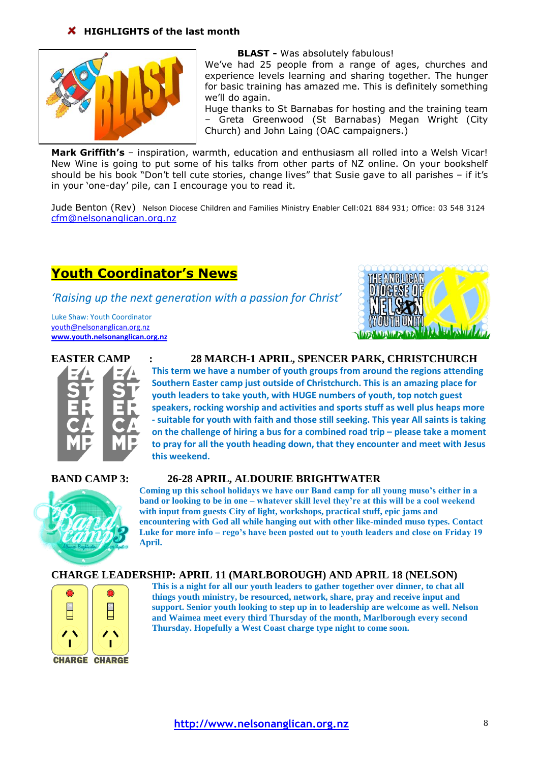## **K** HIGHLIGHTS of the last month



**BLAST -** Was absolutely fabulous!

We've had 25 people from a range of ages, churches and experience levels learning and sharing together. The hunger for basic training has amazed me. This is definitely something we"ll do again.

Huge thanks to St Barnabas for hosting and the training team – Greta Greenwood (St Barnabas) Megan Wright (City Church) and John Laing (OAC campaigners.)

**Mark Griffith's** – inspiration, warmth, education and enthusiasm all rolled into a Welsh Vicar! New Wine is going to put some of his talks from other parts of NZ online. On your bookshelf should be his book "Don't tell cute stories, change lives" that Susie gave to all parishes - if it's in your "one-day" pile, can I encourage you to read it.

Jude Benton (Rev) Nelson Diocese Children and Families Ministry Enabler Cell:021 884 931; Office: 03 548 3124 [cfm@nelsonanglican.org.nz](mailto:cfm@nelsonanglican.org.nz)

# **Youth Coordinator's News**

*'Raising up the next generation with a passion for Christ'*

Luke Shaw: Youth Coordinator [youth@nelsonanglican.org.nz](mailto:youth@nelsonanglican.org.nz) **[www.youth.nelsonanglican.org.nz](http://www.youth.nelsonanglican.org.nz/)**





#### **EASTER CAMP : 28 MARCH-1 APRIL, SPENCER PARK, CHRISTCHURCH**

**This term we have a number of youth groups from around the regions attending Southern Easter camp just outside of Christchurch. This is an amazing place for youth leaders to take youth, with HUGE numbers of youth, top notch guest speakers, rocking worship and activities and sports stuff as well plus heaps more - suitable for youth with faith and those still seeking. This year All saints is taking on the challenge of hiring a bus for a combined road trip – please take a moment to pray for all the youth heading down, that they encounter and meet with Jesus this weekend.**

#### **BAND CAMP 3: 26-28 APRIL, ALDOURIE BRIGHTWATER**



**Coming up this school holidays we have our Band camp for all young muso's either in a band or looking to be in one – whatever skill level they're at this will be a cool weekend with input from guests City of light, workshops, practical stuff, epic jams and encountering with God all while hanging out with other like-minded muso types. Contact Luke for more info – rego's have been posted out to youth leaders and close on Friday 19 April.**

## **CHARGE LEADERSHIP: APRIL 11 (MARLBOROUGH) AND APRIL 18 (NELSON)**



**This is a night for all our youth leaders to gather together over dinner, to chat all things youth ministry, be resourced, network, share, pray and receive input and support. Senior youth looking to step up in to leadership are welcome as well. Nelson and Waimea meet every third Thursday of the month, Marlborough every second Thursday. Hopefully a West Coast charge type night to come soon.**